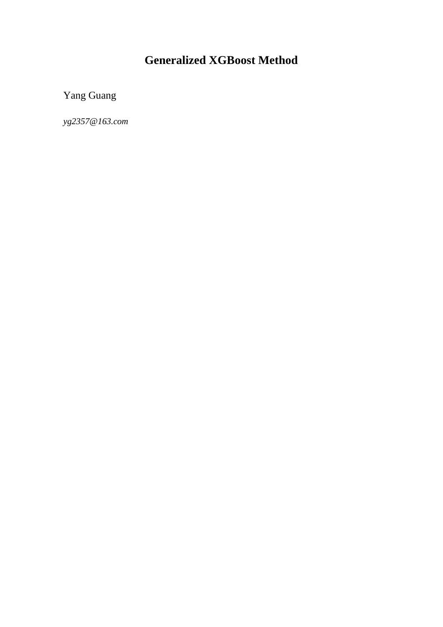# **Generalized XGBoost Method**

Yang Guang

*yg2357@163.com*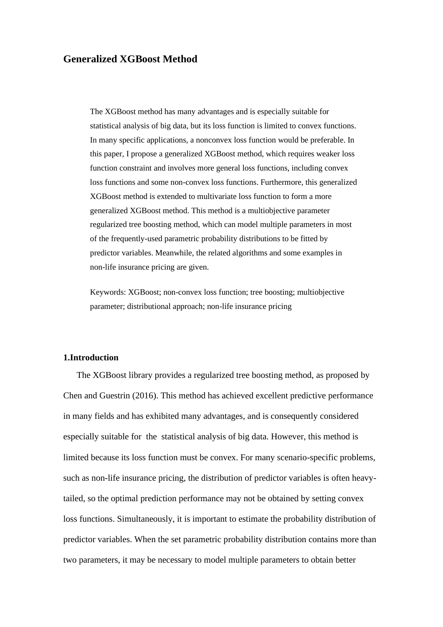### **Generalized XGBoost Method**

The XGBoost method has many advantages and is especially suitable for statistical analysis of big data, but its loss function is limited to convex functions. In many specific applications, a nonconvex loss function would be preferable. In this paper, I propose a generalized XGBoost method, which requires weaker loss function constraint and involves more general loss functions, including convex loss functions and some non-convex loss functions. Furthermore, this generalized XGBoost method is extended to multivariate loss function to form a more generalized XGBoost method. This method is a multiobjective parameter regularized tree boosting method, which can model multiple parameters in most of the frequently-used parametric probability distributions to be fitted by predictor variables. Meanwhile, the related algorithms and some examples in non-life insurance pricing are given.

Keywords: XGBoost; non-convex loss function; tree boosting; multiobjective parameter; distributional approach; non-life insurance pricing

### **1.Introduction**

The XGBoost library provides a regularized tree boosting method, as proposed by Chen and Guestrin (2016). This method has achieved excellent predictive performance in many fields and has exhibited many advantages, and is consequently considered especially suitable for the statistical analysis of big data. However, this method is limited because its loss function must be convex. For many scenario-specific problems, such as non-life insurance pricing, the distribution of predictor variables is often heavytailed, so the optimal prediction performance may not be obtained by setting convex loss functions. Simultaneously, it is important to estimate the probability distribution of predictor variables. When the set parametric probability distribution contains more than two parameters, it may be necessary to model multiple parameters to obtain better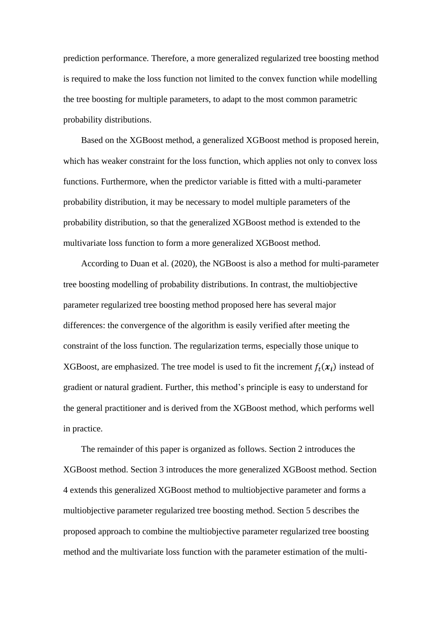prediction performance. Therefore, a more generalized regularized tree boosting method is required to make the loss function not limited to the convex function while modelling the tree boosting for multiple parameters, to adapt to the most common parametric probability distributions.

Based on the XGBoost method, a generalized XGBoost method is proposed herein, which has weaker constraint for the loss function, which applies not only to convex loss functions. Furthermore, when the predictor variable is fitted with a multi-parameter probability distribution, it may be necessary to model multiple parameters of the probability distribution, so that the generalized XGBoost method is extended to the multivariate loss function to form a more generalized XGBoost method.

According to [Duan et al. \(2020\), the NGBoost](#page-23-0) is also a method for multi-parameter tree boosting modelling of probability distributions. In contrast, the multiobjective parameter regularized tree boosting method proposed here has several major differences: the convergence of the algorithm is easily verified after meeting the constraint of the loss function. The regularization terms, especially those unique to XGBoost, are emphasized. The tree model is used to fit the increment  $f_t(x_i)$  instead of gradient or natural gradient. Further, this method's principle is easy to understand for the general practitioner and is derived from the XGBoost method, which performs well in practice.

The remainder of this paper is organized as follows. Section 2 introduces the XGBoost method. Section 3 introduces the more generalized XGBoost method. Section 4 extends this generalized XGBoost method to multiobjective parameter and forms a multiobjective parameter regularized tree boosting method. Section 5 describes the proposed approach to combine the multiobjective parameter regularized tree boosting method and the multivariate loss function with the parameter estimation of the multi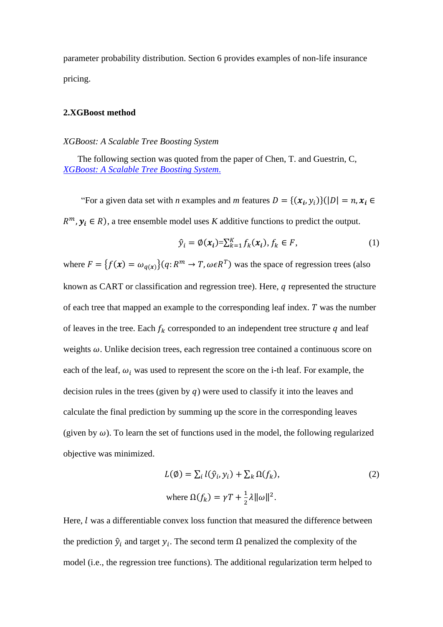parameter probability distribution. Section 6 provides examples of non-life insurance pricing.

### **2.XGBoost method**

### *XGBoost: A Scalable Tree Boosting System*

The following section was quoted from the paper of Chen, T. and Guestrin, C, *[XGBoost: A Scalable Tree Boosting System](#page-22-0)*.

"For a given data set with *n* examples and *m* features  $D = \{ (x_i, y_i) \} (|D| = n, x_i \in$ 

 $R^m$ ,  $y_i \in R$ ), a tree ensemble model uses *K* additive functions to predict the output.

$$
\hat{y}_i = \emptyset(\boldsymbol{x}_i) = \sum_{k=1}^K f_k(\boldsymbol{x}_i), f_k \in F,\tag{1}
$$

where  $F = \{f(x) = \omega_{q(x)}\}(q: R^m \to T, \omega \in R^T)$  was the space of regression trees (also known as CART or classification and regression tree). Here,  $q$  represented the structure of each tree that mapped an example to the corresponding leaf index.  $T$  was the number of leaves in the tree. Each  $f_k$  corresponded to an independent tree structure  $q$  and leaf weights  $\omega$ . Unlike decision trees, each regression tree contained a continuous score on each of the leaf,  $\omega_i$  was used to represent the score on the i-th leaf. For example, the decision rules in the trees (given by  $q$ ) were used to classify it into the leaves and calculate the final prediction by summing up the score in the corresponding leaves (given by  $\omega$ ). To learn the set of functions used in the model, the following regularized objective was minimized.

$$
L(\emptyset) = \sum_{i} l(\hat{y}_{i}, y_{i}) + \sum_{k} \Omega(f_{k}),
$$
  
where  $\Omega(f_{k}) = \gamma T + \frac{1}{2} \lambda ||\omega||^{2}.$  (2)

Here,  $l$  was a differentiable convex loss function that measured the difference between the prediction  $\hat{y}_i$  and target  $y_i$ . The second term  $\Omega$  penalized the complexity of the model (i.e., the regression tree functions). The additional regularization term helped to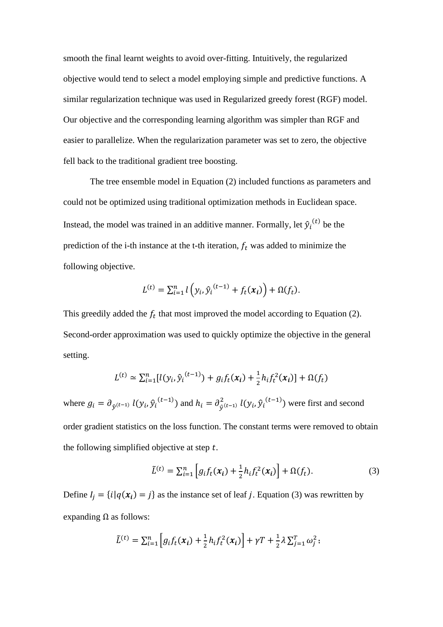smooth the final learnt weights to avoid over-fitting. Intuitively, the regularized objective would tend to select a model employing simple and predictive functions. A similar regularization technique was used in Regularized greedy forest (RGF) model. Our objective and the corresponding learning algorithm was simpler than RGF and easier to parallelize. When the regularization parameter was set to zero, the objective fell back to the traditional gradient tree boosting.

The tree ensemble model in Equation (2) included functions as parameters and could not be optimized using traditional optimization methods in Euclidean space. Instead, the model was trained in an additive manner. Formally, let  $\hat{y}_i^{(t)}$  be the prediction of the i-th instance at the t-th iteration,  $f_t$  was added to minimize the following objective.

$$
L^{(t)} = \sum_{i=1}^n l\left(y_i, \hat{y}_i^{(t-1)} + f_t(x_i)\right) + \Omega(f_t).
$$

This greedily added the  $f_t$  that most improved the model according to Equation (2). Second-order approximation was used to quickly optimize the objective in the general setting.

$$
L^{(t)} \simeq \sum_{i=1}^{n} [l(y_i, \hat{y}_i^{(t-1)}) + g_i f_t(x_i) + \frac{1}{2} h_i f_t^2(x_i)] + \Omega(f_t)
$$

where  $g_i = \partial_{\hat{y}^{(t-1)}} l(y_i, \hat{y}_i^{(t-1)})$  and  $h_i = \partial_{\hat{y}^{(t-1)}}^2 l(y_i, \hat{y}_i^{(t-1)})$  were first and second order gradient statistics on the loss function. The constant terms were removed to obtain the following simplified objective at step  $t$ .

$$
\tilde{L}^{(t)} = \sum_{i=1}^{n} \left[ g_i f_t(x_i) + \frac{1}{2} h_i f_t^2(x_i) \right] + \Omega(f_t). \tag{3}
$$

Define  $I_j = \{i | q(x_i) = j\}$  as the instance set of leaf j. Equation (3) was rewritten by expanding  $Ω$  as follows:

$$
\tilde{L}^{(t)} = \sum_{i=1}^{n} \left[ g_i f_t(x_i) + \frac{1}{2} h_i f_t^2(x_i) \right] + \gamma T + \frac{1}{2} \lambda \sum_{j=1}^{n} \omega_j^2;
$$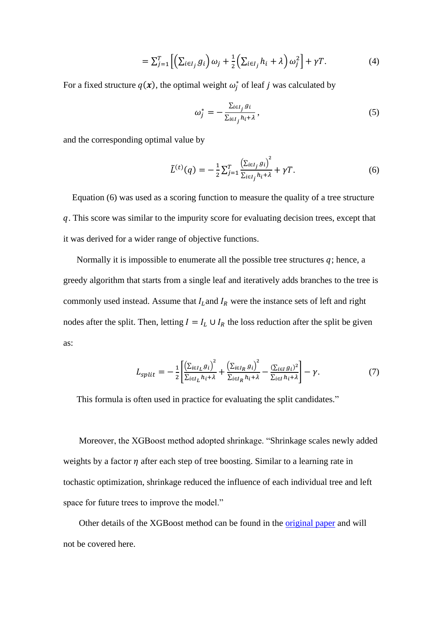$$
= \sum_{j=1}^{T} \left[ \left( \sum_{i \in I_j} g_i \right) \omega_j + \frac{1}{2} \left( \sum_{i \in I_j} h_i + \lambda \right) \omega_j^2 \right] + \gamma T. \tag{4}
$$

For a fixed structure  $q(x)$ , the optimal weight  $\omega_j^*$  of leaf j was calculated by

$$
\omega_j^* = -\frac{\sum_{i \in I_j} g_i}{\sum_{i \in I_j} h_i + \lambda},\tag{5}
$$

and the corresponding optimal value by

$$
\tilde{L}^{(t)}(q) = -\frac{1}{2} \sum_{j=1}^{T} \frac{\left(\sum_{i \in I_j} g_i\right)^2}{\sum_{i \in I_j} h_i + \lambda} + \gamma T. \tag{6}
$$

Equation (6) was used as a scoring function to measure the quality of a tree structure . This score was similar to the impurity score for evaluating decision trees, except that it was derived for a wider range of objective functions.

Normally it is impossible to enumerate all the possible tree structures  $q$ ; hence, a greedy algorithm that starts from a single leaf and iteratively adds branches to the tree is commonly used instead. Assume that  $I_L$  and  $I_R$  were the instance sets of left and right nodes after the split. Then, letting  $I = I_L \cup I_R$  the loss reduction after the split be given as:

$$
L_{split} = -\frac{1}{2} \left[ \frac{\left(\sum_{i \in I_L} g_i\right)^2}{\sum_{i \in I_L} h_i + \lambda} + \frac{\left(\sum_{i \in I_R} g_i\right)^2}{\sum_{i \in I_R} h_i + \lambda} - \frac{\left(\sum_{i \in I} g_i\right)^2}{\sum_{i \in I} h_i + \lambda} \right] - \gamma. \tag{7}
$$

This formula is often used in practice for evaluating the split candidates."

Moreover, the XGBoost method adopted shrinkage. "Shrinkage scales newly added weights by a factor  $\eta$  after each step of tree boosting. Similar to a learning rate in tochastic optimization, shrinkage reduced the influence of each individual tree and left space for future trees to improve the model."

Other details of the XGBoost method can be found in the [original paper](file:///C:/Users/louis/Desktop/OneDrive%20-%20CACTUS/NGKYN_1_2/draft/NGKYN_1_2_返稿后第一次修改.docx%23Xgboost) and will not be covered here.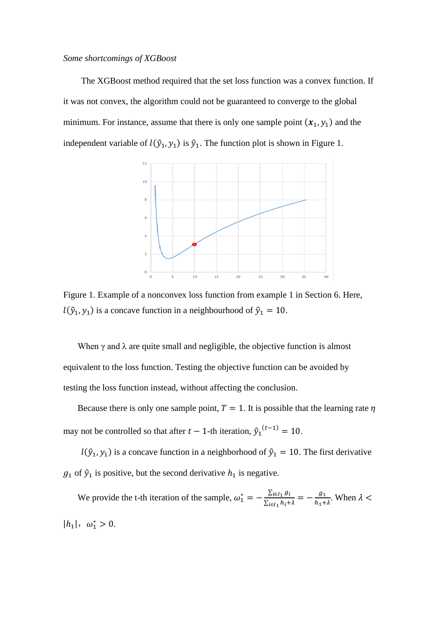### *Some shortcomings of XGBoost*

The XGBoost method required that the set loss function was a convex function. If it was not convex, the algorithm could not be guaranteed to converge to the global minimum. For instance, assume that there is only one sample point  $(x_1, y_1)$  and the independent variable of  $l(\hat{y}_1, y_1)$  is  $\hat{y}_1$ . The function plot is shown in Figure 1.



Figure 1. Example of a nonconvex loss function from example 1 in Section 6. Here,  $l(\hat{y}_1, y_1)$  is a concave function in a neighbourhood of  $\hat{y}_1 = 10$ .

When  $\gamma$  and  $\lambda$  are quite small and negligible, the objective function is almost equivalent to the loss function. Testing the objective function can be avoided by testing the loss function instead, without affecting the conclusion.

Because there is only one sample point,  $T = 1$ . It is possible that the learning rate  $\eta$ may not be controlled so that after  $t - 1$ -th iteration,  $\hat{y}_1^{(t-1)} = 10$ .

 $l(\hat{y}_1, y_1)$  is a concave function in a neighborhood of  $\hat{y}_1 = 10$ . The first derivative  $g_1$  of  $\hat{y}_1$  is positive, but the second derivative  $h_1$  is negative.

We provide the t-th iteration of the sample,  $\omega_1^* = -\frac{\sum_{i \in I_1} g_i}{\sum_{i \in I_1} h_i + \sum_{i \in I_2} h_i}$  $\sum_{i\in I_1} h_i + \lambda$  $=-\frac{g_1}{h_1}$  $\frac{g_1}{h_1 + \lambda}$ . When  $\lambda$  <  $|h_1|, \omega_1^* > 0.$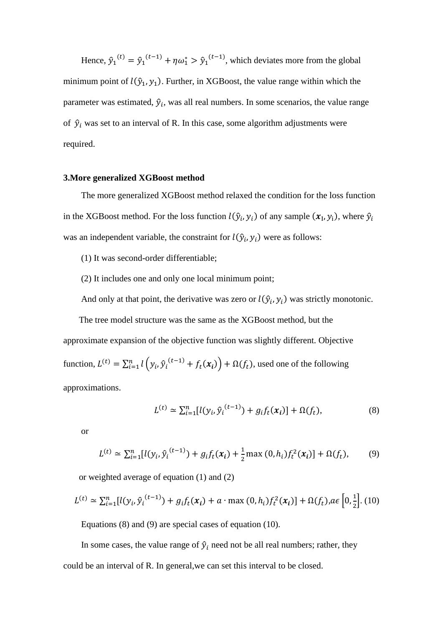Hence,  $\hat{y}_1^{(t)} = \hat{y}_1^{(t-1)} + \eta \omega_1^* > \hat{y}_1^{(t-1)}$ , which deviates more from the global minimum point of  $l(\hat{y}_1, y_1)$ . Further, in XGBoost, the value range within which the parameter was estimated,  $\hat{y}_i$ , was all real numbers. In some scenarios, the [value range](http://www.baidu.com/link?url=hD-uGAyjTkWezixq7wvqYnbGqWwPV61t69xQDynQsvGBFkOrkpozzYOofAwnzfBLvI92zaQXMWjOYEMGXPqz8CA4mMWju4dFLs3OnpsGT8G) of  $\hat{y}_i$  was set to an interval of R. In this case, some algorithm adjustments were required.

### **3.More generalized XGBoost method**

The more generalized XGBoost method relaxed the condition for the loss function in the XGBoost method. For the loss function  $l(\hat{y}_i, y_i)$  of any sample  $(x_I, y_i)$ , where  $\hat{y}_i$ was an independent variable, the constraint for  $l(\hat{y}_i, y_i)$  were as follows:

- (1) It was second-order differentiable;
- (2) It includes one and only one local minimum point;

And only at that point, the derivative was zero or  $l(\hat{y}_i, y_i)$  was strictly monotonic.

The tree model structure was the same as the XGBoost method, but the approximate expansion of the objective function was slightly different. Objective function,  $L^{(t)} = \sum_{i=1}^{n} l(y_i, \hat{y}_i^{(t-1)} + f_t(x_i)) + \Omega(f_t)$ , used one of the following approximations.

$$
L^{(t)} \simeq \sum_{i=1}^{n} [l(y_i, \hat{y}_i^{(t-1)}) + g_i f_t(x_i)] + \Omega(f_t),
$$
\n(8)

or

$$
L^{(t)} \simeq \sum_{i=1}^{n} [l(y_i, \hat{y}_i^{(t-1)}) + g_i f_t(x_i) + \frac{1}{2} \max(0, h_i) f_t^2(x_i)] + \Omega(f_t), \tag{9}
$$

or weighted average of equation (1) and (2)

$$
L^{(t)} \simeq \sum_{i=1}^{n} [l(y_i, \hat{y}_i^{(t-1)}) + g_i f_t(x_i) + a \cdot \max(0, h_i) f_t^2(x_i)] + \Omega(f_t), a \in [0, \frac{1}{2}].
$$
 (10)

Equations (8) and (9) are special cases of equation (10).

In some cases, the value range of  $\hat{y}_i$  need not be all real numbers; rather, they could be an interval of R. In general,we can set this interval to be closed.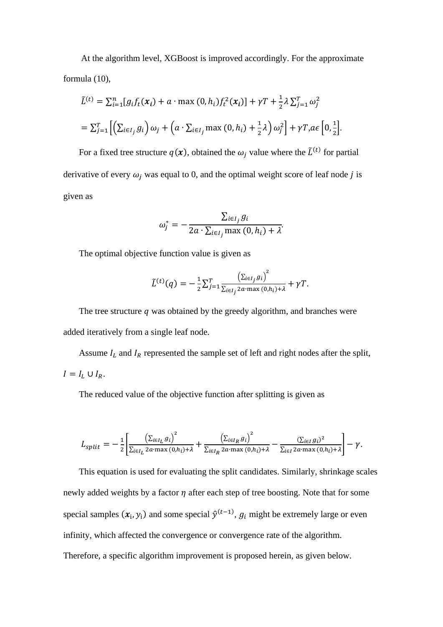At the algorithm level, XGBoost is improved accordingly. For the approximate formula (10),

$$
\tilde{L}^{(t)} = \sum_{i=1}^{n} [g_i f_t(x_i) + a \cdot \max(0, h_i) f_t^2(x_i)] + \gamma T + \frac{1}{2} \lambda \sum_{j=1}^{T} \omega_j^2
$$
  
=  $\sum_{j=1}^{T} \left[ \left( \sum_{i \in I_j} g_i \right) \omega_j + \left( a \cdot \sum_{i \in I_j} \max(0, h_i) + \frac{1}{2} \lambda \right) \omega_j^2 \right] + \gamma T, a \in \left[ 0, \frac{1}{2} \right].$ 

For a fixed tree structure  $q(x)$ , obtained the  $\omega_j$  value where the  $\tilde{L}^{(t)}$  for partial derivative of every  $\omega_i$  was equal to 0, and the optimal weight score of leaf node *j* is given as

$$
\omega_j^* = -\frac{\sum_{i \in I_j} g_i}{2a \cdot \sum_{i \in I_j} \max(0, h_i) + \lambda}
$$

The optimal objective function value is given as

$$
\tilde{L}^{(t)}(q) = -\frac{1}{2} \sum_{j=1}^{T} \frac{\left(\sum_{i \in I_j} g_i\right)^2}{\sum_{i \in I_j} 2a \cdot \max(0, h_i) + \lambda} + \gamma T.
$$

The tree structure  $q$  was obtained by the greedy algorithm, and branches were added iteratively from a single leaf node.

Assume  $I_L$  and  $I_R$  represented the sample set of left and right nodes after the split,  $I = I_L \cup I_R$ .

The reduced value of the objective function after splitting is given as

$$
L_{split} = -\frac{1}{2} \left[ \frac{\left(\sum_{i \in I_L} g_i\right)^2}{\sum_{i \in I_L} 2a \cdot \max(0, h_i) + \lambda} + \frac{\left(\sum_{i \in I_R} g_i\right)^2}{\sum_{i \in I_R} 2a \cdot \max(0, h_i) + \lambda} - \frac{\left(\sum_{i \in I} g_i\right)^2}{\sum_{i \in I} 2a \cdot \max(0, h_i) + \lambda} \right] - \gamma.
$$

This equation is used for evaluating the split candidates. Similarly, shrinkage scales newly added weights by a factor  $\eta$  after each step of tree boosting. Note that for some special samples  $(x_i, y_i)$  and some special  $\hat{y}^{(t-1)}$ ,  $g_i$  might be extremely large or even infinity, which affected the convergence or convergence rate of the algorithm. Therefore, a specific algorithm improvement is proposed herein, as given below.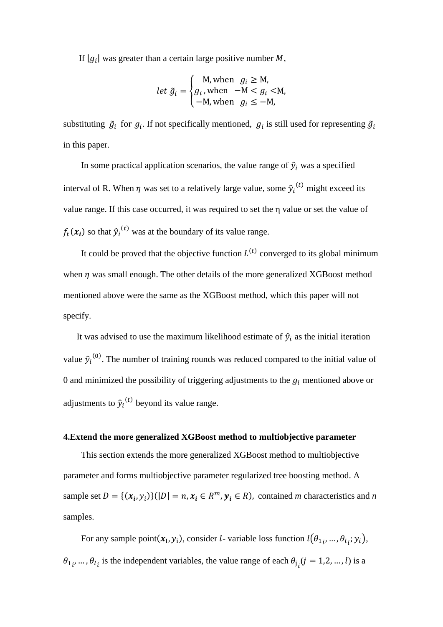If  $|g_i|$  was greater than a certain large positive number M,

let 
$$
\tilde{g}_i = \begin{cases} M, \text{when } g_i \geq M, \\ g_i, \text{when } -M < g_i < M, \\ -M, \text{when } g_i \leq -M, \end{cases}
$$

substituting  $\tilde{g}_i$  for  $g_i$ . If not specifically mentioned,  $g_i$  is still used for representing  $\tilde{g}_i$ in this paper.

In some practical application scenarios, the value range of  $\hat{y}_i$  was a specified interval of R. When  $\eta$  was set to a relatively large value, some  $\hat{y}_i^{(t)}$  might exceed its value range. If this case occurred, it was required to set the η value or set the value of  $f_t(x_i)$  so that  $\hat{y}_i^{(t)}$  was at the boundary of its value range.

It could be proved that the objective function  $L^{(t)}$  converged to its global minimum when  $\eta$  was small enough. The other details of the more generalized XGBoost method mentioned above were the same as the XGBoost method, which this paper will not specify.

It was advised to use the maximum likelihood estimate of  $\hat{y}_i$  as the initial iteration value  $\hat{y}_i^{(0)}$ . The number of training rounds was reduced compared to the initial value of 0 and minimized the possibility of triggering adjustments to the  $g_i$  mentioned above or adjustments to  $\hat{y}_i^{(t)}$  beyond its value range.

### **4.Extend the more generalized XGBoost method to multiobjective parameter**

This section extends the more generalized XGBoost method to multiobjective parameter and forms multiobjective parameter regularized tree boosting method. A sample set  $D = \{ (x_i, y_i) \} (|D| = n, x_i \in R^m, y_i \in R)$ , contained *m* characteristics and *n* samples.

For any sample point $(x_1, y_1)$ , consider *l*-variable loss function  $l(\theta_{1i}, ..., \theta_{l_i}; y_i)$ ,  $\theta_{1}$ , ...,  $\theta_{l_i}$  is the independent variables, the value range of each  $\theta_{j_i}(j = 1, 2, ..., l)$  is a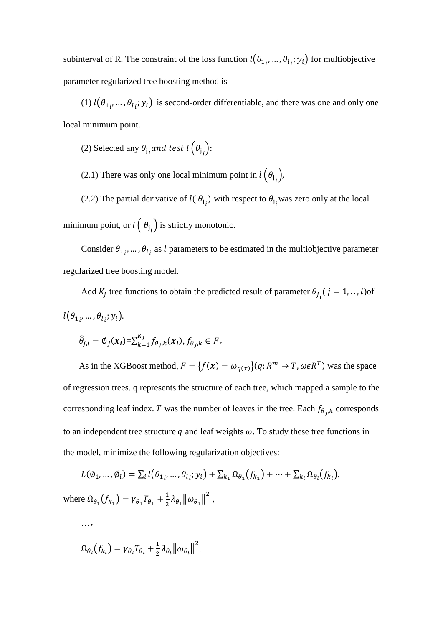subinterval of R. The constraint of the loss function  $l(\theta_{1i}, ..., \theta_{l_i}; y_i)$  for multiobjective parameter regularized tree boosting method is

(1)  $l(\theta_{1i}, ..., \theta_{li}; y_i)$  is second-order differentiable, and there was one and only one local minimum point.

(2) Selected any  $\theta_j$  and test  $l\left(\theta_j\right)$ :

(2.1) There was only one local minimum point in  $l(\theta_{j_i})$ ,

(2.2) The partial derivative of  $l(\theta_{j_i})$  with respect to  $\theta_{j_i}$  was zero only at the local minimum point, or  $l\left(\right.\boldsymbol{\theta_{j}}_{i}\right)$  is strictly monotonic.

Consider  $\theta_{1i}$ , ...,  $\theta_{l_i}$  as *l* parameters to be estimated in the multiobjective parameter regularized tree boosting model.

Add  $K_j$  tree functions to obtain the predicted result of parameter  $\theta_{j_i}$  ( $j = 1, ..., l$ ) of  $l(\theta_{1_i},\ldots,\theta_{l_i};y_i).$ 

$$
\hat{\theta}_{j,i} = \emptyset_j(\boldsymbol{x}_i) = \sum_{k=1}^{K_j} f_{\theta_j,k}(\boldsymbol{x}_i), f_{\theta_j,k} \in F,
$$

As in the XGBoost method,  $F = \{f(x) = \omega_{q(x)}\}(q: R^m \to T, \omega \in R^T)$  was the space of regression trees. q represents the structure of each tree, which mapped a sample to the corresponding leaf index. T was the number of leaves in the tree. Each  $f_{\theta_j,k}$  corresponds to an independent tree structure  $q$  and leaf weights  $\omega$ . To study these tree functions in the model, minimize the following regularization objectives:

$$
L(\emptyset_1, ..., \emptyset_l) = \sum_i l(\theta_{1i}, ..., \theta_{l_i}; y_i) + \sum_{k_1} \Omega_{\theta_1}(f_{k_1}) + \dots + \sum_{k_l} \Omega_{\theta_l}(f_{k_l}),
$$
  
where  $\Omega_{\theta_1}(f_{k_1}) = \gamma_{\theta_1} T_{\theta_1} + \frac{1}{2} \lambda_{\theta_1} ||\omega_{\theta_1}||^2$ ,

…,

$$
\Omega_{\theta_l}(f_{k_l}) = \gamma_{\theta_l} T_{\theta_l} + \frac{1}{2} \lambda_{\theta_l} ||\omega_{\theta_l}||^2.
$$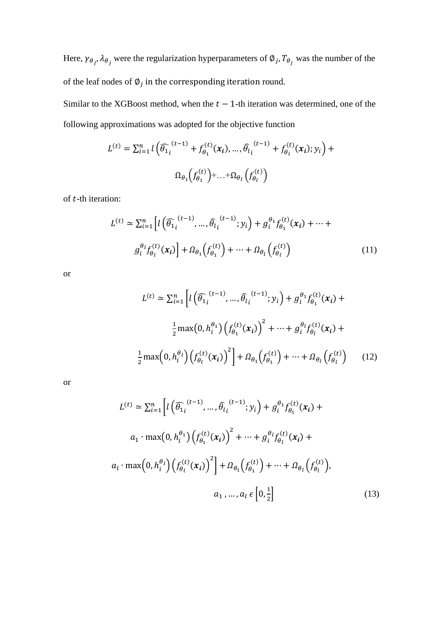Here,  $\gamma_{\theta_j}$ ,  $\lambda_{\theta_j}$  were the regularization hyperparameters of  $\phi_j$ ,  $T_{\theta_j}$  was the number of the of the leaf nodes of  $\varphi_j$  in the corresponding iteration round.

Similar to the XGBoost method, when the  $t - 1$ -th iteration was determined, one of the following approximations was adopted for the objective function

$$
L^{(t)} = \sum_{i=1}^{n} l \left( \widehat{\theta}_{1i}^{(t-1)} + f_{\theta_{1}}^{(t)}(\boldsymbol{x}_{i}), \dots, \widehat{\theta}_{l_{i}}^{(t-1)} + f_{\theta_{l}}^{(t)}(\boldsymbol{x}_{i}); y_{i} \right) + \dots + \Omega_{\theta_{l}} \left( f_{\theta_{l}}^{(t)} \right)
$$

of  $t$ -th iteration:

$$
L^{(t)} \simeq \sum_{i=1}^{n} \left[ l\left(\widehat{\theta}_{1}^{(t-1)}, \dots, \widehat{\theta}_{l}^{(t-1)}; y_i\right) + g_i^{\theta_1} f_{\theta_1}^{(t)}(x_i) + \dots +
$$

$$
g_i^{\theta_l} f_{\theta_l}^{(t)}(x_i) \right] + \Omega_{\theta_1} \left(f_{\theta_1}^{(t)}\right) + \dots + \Omega_{\theta_l} \left(f_{\theta_l}^{(t)}\right) \tag{11}
$$

or

$$
L^{(t)} \approx \sum_{i=1}^{n} \left[ l\left(\widehat{\theta}_{1}^{(t-1)}, \dots, \widehat{\theta}_{l}^{(t-1)}; y_{i}\right) + g_{i}^{\theta_{1}} f_{\theta_{1}}^{(t)}(x_{i}) + \frac{1}{2} \max(0, h_{i}^{\theta_{1}}) \left(f_{\theta_{1}}^{(t)}(x_{i})\right)^{2} + \dots + g_{i}^{\theta_{l}} f_{\theta_{l}}^{(t)}(x_{i}) + \frac{1}{2} \max(0, h_{i}^{\theta_{l}}) \left(f_{\theta_{l}}^{(t)}(x_{i})\right)^{2} + \Omega_{\theta_{1}} \left(f_{\theta_{1}}^{(t)}\right) + \dots + \Omega_{\theta_{l}} \left(f_{\theta_{l}}^{(t)}\right) \tag{12}
$$

or

$$
L^{(t)} \approx \sum_{i=1}^{n} \left[ l\left(\widehat{\theta}_{1i}^{(t-1)}, \dots, \widehat{\theta}_{l_i}^{(t-1)}; y_i\right) + g_i^{\theta_1} f_{\theta_1}^{(t)}(x_i) + a_1 \cdot \max(0, h_i^{\theta_1}) \left(f_{\theta_1}^{(t)}(x_i)\right)^2 + \dots + g_i^{\theta_l} f_{\theta_l}^{(t)}(x_i) + a_l \cdot \max(0, h_i^{\theta_l}) \left(f_{\theta_l}^{(t)}(x_i)\right)^2 \right] + \Omega_{\theta_1} \left(f_{\theta_1}^{(t)}\right) + \dots + \Omega_{\theta_l} \left(f_{\theta_l}^{(t)}\right),
$$
\n
$$
a_1, \dots, a_l \in \left[0, \frac{1}{2}\right] \tag{13}
$$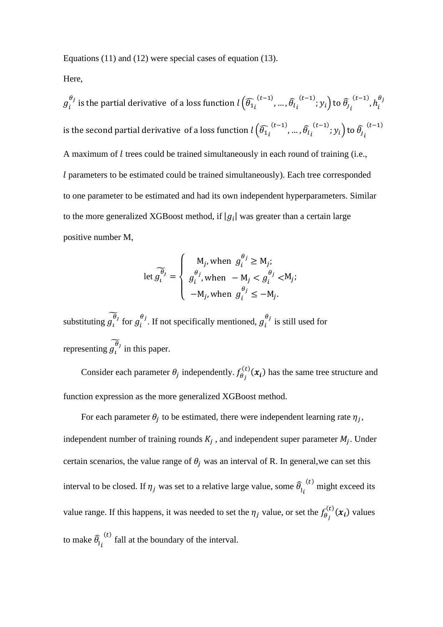Equations (11) and (12) were special cases of equation (13).

Here,

 $g_i^{\theta_j}$  is the partial derivative of a loss function  $l\left(\widehat{\theta_1}_i\overset{(t-1)}{\ldots},\mathfrak{m},\widehat{\theta_l}_i\right)$  $(t-1)$ ;  $y_i$ ) to  $\widehat{\theta}_j$  $(t-1)$ ,  $h_i^{\theta_j}$ is the second partial derivative of a loss function  $l\left(\widehat{\theta_{1}}_{i}^{(t-1)},...,\widehat{\theta_{l}}_{l}\right)$  $(t-1)$ ;  $y_i$ ) to  $\widehat{\theta}_j$  $(t-1)$ A maximum of  $l$  trees could be trained simultaneously in each round of training (i.e., parameters to be estimated could be trained simultaneously). Each tree corresponded to one parameter to be estimated and had its own independent hyperparameters. Similar to the more generalized XGBoost method, if  $|g_i|$  was greater than a certain large positive number M,

let 
$$
\widetilde{g_i^{\theta_j}} = \begin{cases} M_j, \text{ when } g_i^{\theta_j} \ge M_j; \\ g_i^{\theta_j}, \text{ when } -M_j < g_i^{\theta_j} < M_j; \\ -M_j, \text{ when } g_i^{\theta_j} \le -M_j. \end{cases}
$$

substituting  $\widetilde{g_i^{\theta_j}}$  for  $g_i^{\theta_j}$ . If not specifically mentioned,  $g_i^{\theta_j}$  is still used for representing  $\widetilde{g_l^{\theta_j}}$  in this paper.

Consider each parameter  $\theta_j$  independently.  $f_{\theta_j}^{(t)}(x_i)$  has the same tree structure and function expression as the more generalized XGBoost method.

For each parameter  $\theta_j$  to be estimated, there were independent learning rate  $\eta_j$ , independent number of training rounds  $K_j$ , and independent super parameter  $M_j$ . Under certain scenarios, the value range of  $\theta_i$  was an interval of R. In general, we can set this interval to be closed. If  $\eta_j$  was set to a relative large value, some  $\widehat{\theta}_j$  $(t)$  might exceed its value range. If this happens, it was needed to set the  $\eta_j$  value, or set the  $f_{\theta_j}^{(t)}(x_i)$  values to make  $\widehat{\theta}_{j_i}$  $<sup>(t)</sup>$  fall at the boundary of the interval.</sup>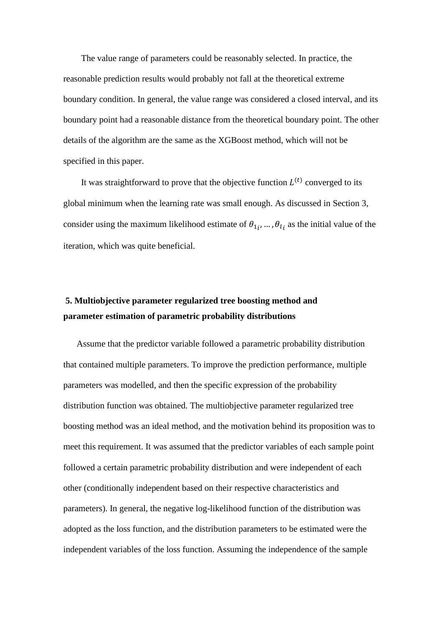The value range of parameters could be reasonably selected. In practice, the reasonable prediction results would probably not fall at the theoretical extreme boundary condition. In general, the value range was considered a closed interval, and its boundary point had a reasonable distance from the theoretical boundary point. The other details of the algorithm are the same as the [XGBoost method,](file:///C:/Users/louis/Desktop/OneDrive%20-%20CACTUS/NGKYN_1_2/draft/NGKYN_1_2_返稿后第一次修改.docx%23Xgboost) which will not be specified in this paper.

It was straightforward to prove that the objective function  $L^{(t)}$  converged to its global minimum when the learning rate was small enough. As discussed in Section 3, consider using the maximum likelihood estimate of  $\theta_{1i}$ , ...,  $\theta_{l_i}$  as the initial value of the iteration, which was quite beneficial.

## **5. Multiobjective parameter regularized tree boosting method and parameter estimation of parametric probability distributions**

Assume that the predictor variable followed a parametric probability distribution that contained multiple parameters. To improve the prediction performance, multiple parameters was modelled, and then the specific expression of the probability distribution function was obtained. The multiobjective parameter regularized tree boosting method was an ideal method, and the motivation behind its proposition was to meet this requirement. It was assumed that the predictor variables of each sample point followed a certain parametric probability distribution and were independent of each other (conditionally independent based on their respective characteristics and parameters). In general, the negative log-likelihood function of the distribution was adopted as the loss function, and the distribution parameters to be estimated were the independent variables of the loss function. Assuming the independence of the sample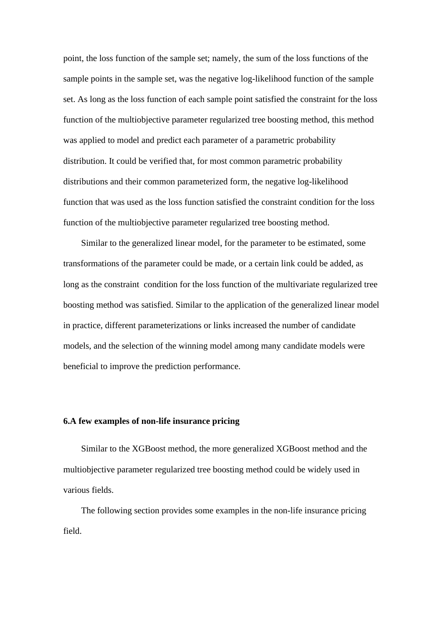point, the loss function of the sample set; namely, the sum of the loss functions of the sample points in the sample set, was the negative log-likelihood function of the sample set. As long as the loss function of each sample point satisfied the constraint for the loss function of the multiobjective parameter regularized tree boosting method, this method was applied to model and predict each parameter of a parametric probability distribution. It could be verified that, for most common parametric probability distributions and their common parameterized form, the negative log-likelihood function that was used as the loss function satisfied the constraint condition for the loss function of the multiobjective parameter regularized tree boosting method.

Similar to the generalized linear model, for the parameter to be estimated, some transformations of the parameter could be made, or a certain link could be added, as long as the constraint condition for the loss function of the multivariate regularized tree boosting method was satisfied. Similar to the application of the generalized linear model in practice, different parameterizations or links increased the number of candidate models, and the selection of the winning model among many candidate models were beneficial to improve the prediction performance.

### **6.A few examples of non-life insurance pricing**

Similar to the XGBoost method, the more generalized XGBoost method and the multiobjective parameter regularized tree boosting method could be widely used in various fields.

The following section provides some examples in the non-life insurance pricing field.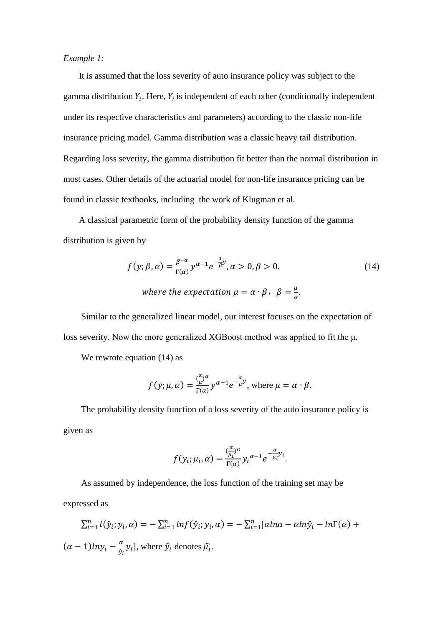### *Example 1:*

It is assumed that the loss severity of auto insurance policy was subject to the gamma distribution  $Y_i$ . Here,  $Y_i$  is independent of each other (conditionally independent under its respective characteristics and parameters) according to the classic non-life insurance pricing model. Gamma distribution was a classic heavy tail distribution. Regarding loss severity, the gamma distribution fit better than the normal distribution in most cases. Other details of the actuarial model for non-life insurance pricing can be found in classic textbooks, including the work of [Klugman et al.](file:///C:/Users/louis/Desktop/OneDrive%20-%20CACTUS/NGKYN_1_2/draft/NGKYN_1_2_返稿后第一次修改.docx%23LossModels)

A classical parametric form of the probability density function of the gamma distribution is given by

$$
f(y; \beta, \alpha) = \frac{\beta^{-\alpha}}{\Gamma(\alpha)} y^{\alpha - 1} e^{-\frac{1}{\beta}y}, \alpha > 0, \beta > 0.
$$
 (14)  
where the expectation  $\mu = \alpha \cdot \beta, \ \beta = \frac{\mu}{\alpha}.$ 

Similar to the generalized linear model, our interest focuses on the expectation of loss severity. Now the more generalized XGBoost method was applied to fit the μ.

We rewrote equation  $(14)$  as

$$
f(y; \mu, \alpha) = \frac{\binom{\alpha}{\mu} \alpha}{\Gamma(\alpha)} y^{\alpha - 1} e^{-\frac{\alpha}{\mu} y}
$$
, where  $\mu = \alpha \cdot \beta$ .

The probability density function of a loss severity of the auto insurance policy is given as

$$
f(y_i; \mu_i, \alpha) = \frac{(\frac{\alpha}{\mu_i})^{\alpha}}{\Gamma(\alpha)} y_i^{\alpha - 1} e^{-\frac{\alpha}{\mu_i} y_i}.
$$

As assumed by independence, the loss function of the training set may be expressed as

$$
\sum_{i=1}^{n} l(\hat{y}_i; y_i, \alpha) = -\sum_{i=1}^{n} ln f(\hat{y}_i; y_i, \alpha) = -\sum_{i=1}^{n} [aln\alpha - \alpha ln \hat{y}_i - ln\Gamma(\alpha) +
$$
  

$$
(\alpha - 1)lny_i - \frac{\alpha}{\hat{y}_i}y_i],
$$
 where  $\hat{y}_i$  denotes  $\hat{\mu}_i$ .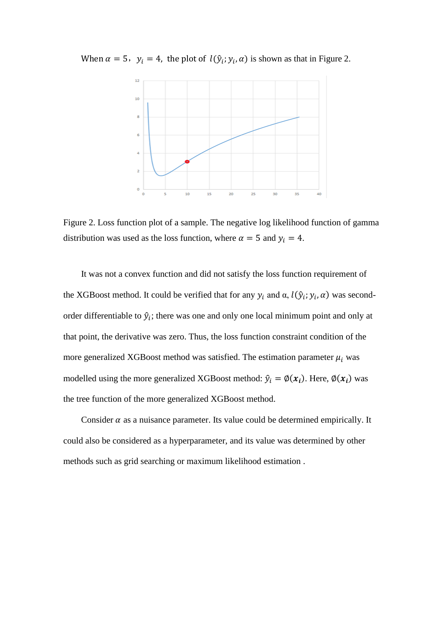When  $\alpha = 5$ ,  $y_i = 4$ , the plot of  $l(\hat{y}_i; y_i, \alpha)$  is shown as that in Figure 2.



Figure 2. Loss function plot of a sample. The negative log likelihood function of gamma distribution was used as the loss function, where  $\alpha = 5$  and  $y_i = 4$ .

It was not a convex function and did not satisfy the loss function requirement of the XGBoost method. It could be verified that for any  $y_i$  and  $\alpha$ ,  $l(\hat{y}_i; y_i, \alpha)$  was secondorder differentiable to  $\hat{y}_i$ ; there was one and only one local minimum point and only at that point, the derivative was zero. Thus, the loss function constraint condition of the more generalized XGBoost method was satisfied. The estimation parameter  $\mu_i$  was modelled using the more generalized XGBoost method:  $\hat{y}_i = \phi(x_i)$ . Here,  $\phi(x_i)$  was the tree function of the more generalized XGBoost method.

Consider  $\alpha$  as a nuisance parameter. Its value could be determined empirically. It could also be considered as a hyperparameter, and its value was determined by other methods such as grid searching or maximum likelihood estimation .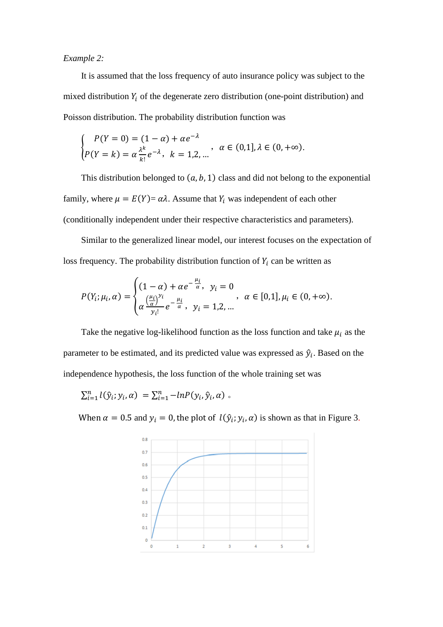### *Example 2:*

It is assumed that the loss frequency of auto insurance policy was subject to the mixed distribution  $Y_i$  of the degenerate zero distribution (one-point distribution) and Poisson distribution. The probability distribution function was

$$
\begin{cases}\nP(Y=0) = (1-\alpha) + \alpha e^{-\lambda} \\
P(Y=k) = \alpha \frac{\lambda^k}{k!} e^{-\lambda}, \quad k = 1,2,... \n\end{cases}, \quad \alpha \in (0,1], \lambda \in (0,+\infty).
$$

This distribution belonged to  $(a, b, 1)$  class and did not belong to the exponential family, where  $\mu = E(Y) = \alpha \lambda$ . Assume that  $Y_i$  was independent of each other (conditionally independent under their respective characteristics and parameters).

Similar to the generalized linear model, our interest focuses on the expectation of loss frequency. The probability distribution function of  $Y_i$  can be written as

$$
P(Y_i; \mu_i, \alpha) = \begin{cases} (1 - \alpha) + \alpha e^{-\frac{\mu_i}{\alpha}}, & y_i = 0 \\ \alpha \frac{(\frac{\mu_i}{\alpha})^{y_i}}{y_i!} e^{-\frac{\mu_i}{\alpha}}, & y_i = 1, 2, ... \end{cases}, \alpha \in [0, 1], \mu_i \in (0, +\infty).
$$

Take the negative log-likelihood function as the loss function and take  $\mu_i$  as the parameter to be estimated, and its predicted value was expressed as  $\hat{y}_i$ . Based on the independence hypothesis, the loss function of the whole training set was

$$
\sum_{i=1}^n l(\hat{y}_i; y_i, \alpha) = \sum_{i=1}^n -\ln P(y_i, \hat{y}_i, \alpha) \, .
$$

When  $\alpha = 0.5$  and  $y_i = 0$ , the plot of  $l(\hat{y}_i; y_i, \alpha)$  is shown as that in Figure 3.

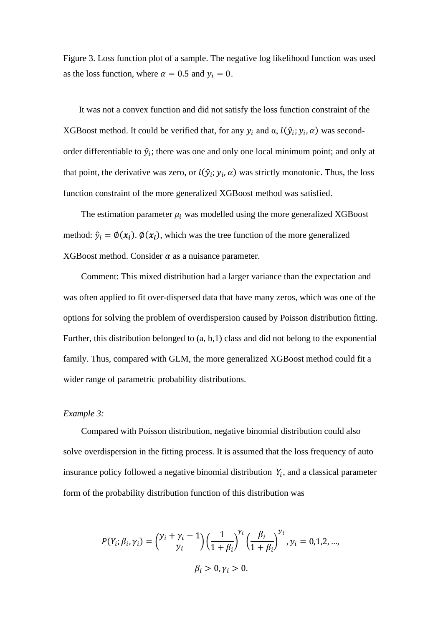Figure 3. Loss function plot of a sample. The negative log likelihood function was used as the loss function, where  $\alpha = 0.5$  and  $y_i = 0$ .

It was not a convex function and did not satisfy the loss function constraint of the XGBoost method. It could be verified that, for any  $y_i$  and  $\alpha$ ,  $l(\hat{y}_i; y_i, \alpha)$  was secondorder differentiable to  $\hat{y}_i$ ; there was one and only one local minimum point; and only at that point, the derivative was zero, or  $l(\hat{y}_i; y_i, \alpha)$  was strictly monotonic. Thus, the loss function constraint of the more generalized XGBoost method was satisfied.

The estimation parameter  $\mu_i$  was modelled using the more generalized XGBoost method:  $\hat{y}_i = \phi(x_i)$ .  $\phi(x_i)$ , which was the tree function of the more generalized XGBoost method. Consider  $\alpha$  as a nuisance parameter.

Comment: This mixed distribution had a larger variance than the expectation and was often applied to fit over-dispersed data that have many zeros, which was one of the options for solving the problem of overdispersion caused by Poisson distribution fitting. Further, this distribution belonged to (a, b,1) class and did not belong to the exponential family. Thus, compared with GLM, the more generalized XGBoost method could fit a wider range of parametric probability distributions.

### *Example 3:*

Compared with Poisson distribution, negative binomial distribution could also solve overdispersion in the fitting process. It is assumed that the loss frequency of auto insurance policy followed a negative binomial distribution  $Y_i$ , and a classical parameter form of the probability distribution function of this distribution was

$$
P(Y_i; \beta_i, \gamma_i) = {y_i + \gamma_i - 1 \choose y_i} \left(\frac{1}{1 + \beta_i}\right)^{\gamma_i} \left(\frac{\beta_i}{1 + \beta_i}\right)^{y_i}, y_i = 0, 1, 2, ...,
$$
  

$$
\beta_i > 0, \gamma_i > 0.
$$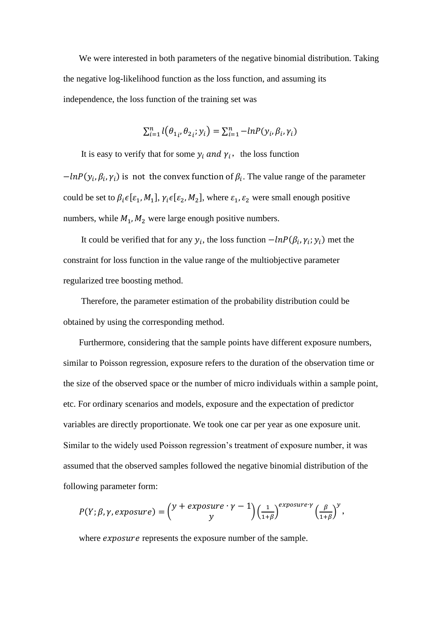We were interested in both parameters of the negative binomial distribution. Taking the negative log-likelihood function as the loss function, and assuming its independence, the loss function of the training set was

$$
\sum_{i=1}^{n} l(\theta_{1i}, \theta_{2i}; y_i) = \sum_{i=1}^{n} -\ln P(y_i, \beta_i, \gamma_i)
$$

It is easy to verify that for some  $y_i$  and  $\gamma_i$ , the loss function

 $-\ln P(y_i, \beta_i, \gamma_i)$  is not the convex function of  $\beta_i$ . The value range of the parameter could be set to  $\beta_i \epsilon [\epsilon_1, M_1], \gamma_i \epsilon [\epsilon_2, M_2],$  where  $\epsilon_1, \epsilon_2$  were small enough positive numbers, while  $M_1$ ,  $M_2$  were large enough positive numbers.

It could be verified that for any  $y_i$ , the loss function  $-\ln P(\beta_i, \gamma_i; y_i)$  met the constraint for loss function in the value range of the multiobjective parameter regularized tree boosting method.

Therefore, the parameter estimation of the probability distribution could be obtained by using the corresponding method.

Furthermore, considering that the sample points have different exposure numbers, similar to Poisson regression, exposure refers to the duration of the observation time or the size of the observed space or the number of micro individuals within a sample point, etc. For ordinary scenarios and models, exposure and the expectation of predictor variables are directly proportionate. We took one car per year as one exposure unit. Similar to the widely used Poisson regression's treatment of exposure number, it was assumed that the observed samples followed the negative binomial distribution of the following parameter form:

$$
P(Y; \beta, \gamma, exposure) = \binom{y + exposure \cdot \gamma - 1}{y} \left(\frac{1}{1+\beta}\right)^{exposure \cdot \gamma} \left(\frac{\beta}{1+\beta}\right)^y,
$$

where  $exposure$  represents the exposure number of the sample.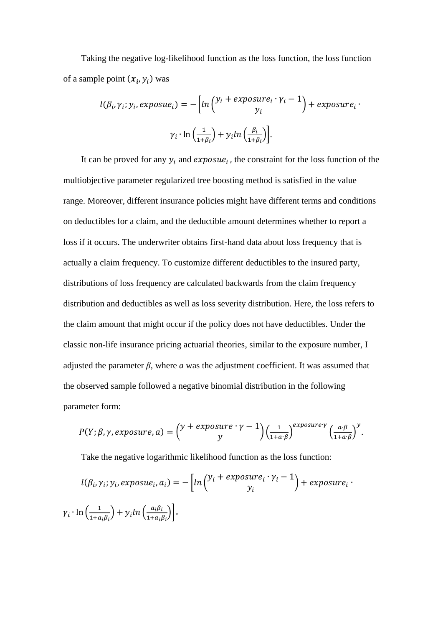Taking the negative log-likelihood function as the loss function, the loss function of a sample point  $(x_i, y_i)$  was

$$
l(\beta_i, \gamma_i; y_i, exposure_i) = -\left[ln\left(\frac{y_i + exposure_i \cdot \gamma_i - 1}{y_i}\right) + exposure_i \cdot \frac{\gamma_i \cdot ln\left(\frac{1}{1 + \beta_i}\right) + y_i ln\left(\frac{\beta_i}{1 + \beta_i}\right)\right].
$$

It can be proved for any  $y_i$  and  $exposue_i$ , the constraint for the loss function of the multiobjective parameter regularized tree boosting method is satisfied in the value range. Moreover, different insurance policies might have different terms and conditions on deductibles for a claim, and the deductible amount determines whether to report a loss if it occurs. The underwriter obtains first-hand data about loss frequency that is actually a claim frequency. To customize different deductibles to the insured party, distributions of loss frequency are calculated backwards from the claim frequency distribution and deductibles as well as loss severity distribution. Here, the loss refers to the claim amount that might occur if the policy does not have deductibles. Under the classic non-life insurance pricing actuarial theories, similar to the exposure number, I adjusted the parameter  $\beta$ , where  $\alpha$  was the adjustment coefficient. It was assumed that the observed sample followed a negative binomial distribution in the following parameter form:

$$
P(Y; \beta, \gamma, exposure, a) = {y + exposure \cdot \gamma - 1 \choose y} \left(\frac{1}{1 + a \cdot \beta}\right)^{exposure \cdot \gamma} \left(\frac{a \cdot \beta}{1 + a \cdot \beta}\right)^y.
$$

Take the negative logarithmic likelihood function as the loss function:

$$
l(\beta_i, \gamma_i; y_i, exposure_i, a_i) = -\left[ln\left(\frac{y_i + exposure_i \cdot \gamma_i - 1}{y_i}\right) + exposure_i \cdot \gamma_i \cdot ln\left(\frac{1}{1 + a_i \beta_i}\right) + y_i ln\left(\frac{a_i \beta_i}{1 + a_i \beta_i}\right)\right].
$$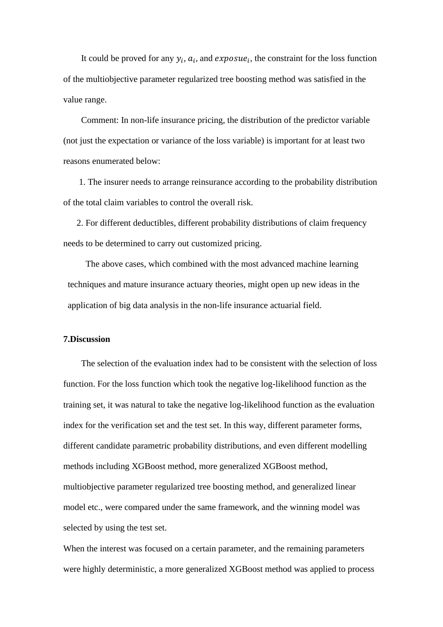It could be proved for any  $y_i$ ,  $a_i$ , and  $exposue_i$ , the constraint for the loss function of the multiobjective parameter regularized tree boosting method was satisfied in the value range.

Comment: In non-life insurance pricing, the distribution of the predictor variable (not just the expectation or variance of the loss variable) is important for at least two reasons enumerated below:

1. The insurer needs to arrange reinsurance according to the probability distribution of the total claim variables to control the overall risk.

2. For different deductibles, different probability distributions of claim frequency needs to be determined to carry out customized pricing.

The above cases, which combined with the most advanced machine learning techniques and mature insurance actuary theories, might open up new ideas in the application of big data analysis in the non-life insurance actuarial field.

### **7.Discussion**

The selection of the evaluation index had to be consistent with the selection of loss function. For the loss function which took the negative log-likelihood function as the training set, it was natural to take the negative log-likelihood function as the evaluation index for the verification set and the test set. In this way, different parameter forms, different candidate parametric probability distributions, and even different modelling methods including XGBoost method, more generalized XGBoost method, multiobjective parameter regularized tree boosting method, and generalized linear model etc., were compared under the same framework, and the winning model was selected by using the test set.

When the interest was focused on a certain parameter, and the remaining parameters were highly deterministic, a more generalized XGBoost method was applied to process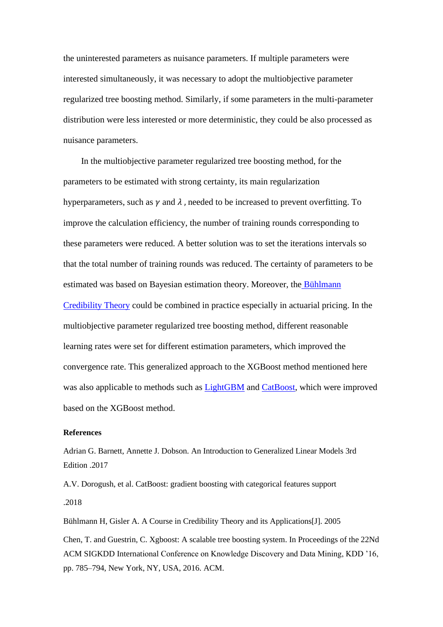the uninterested parameters as nuisance parameters. If multiple parameters were interested simultaneously, it was necessary to adopt the multiobjective parameter regularized tree boosting method. Similarly, if some parameters in the multi-parameter distribution were less interested or more deterministic, they could be also processed as nuisance parameters.

In the multiobjective parameter regularized tree boosting method, for the parameters to be estimated with strong certainty, its main regularization hyperparameters, such as  $\gamma$  and  $\lambda$ , needed to be increased to prevent overfitting. To improve the calculation efficiency, the number of training rounds corresponding to these parameters were reduced. A better solution was to set the iterations intervals so that the total number of training rounds was reduced. The certainty of parameters to be estimated was based on Bayesian estimation theory. Moreover, the Bühlmann [Credibility Theory](#page-22-1) could be combined in practice especially in actuarial pricing. In the multiobjective parameter regularized tree boosting method, different reasonable learning rates were set for different estimation parameters, which improved the convergence rate. This generalized approach to the XGBoost method mentioned here was also applicable to methods such as [LightGBM](#page-23-1) and [CatBoost,](#page-22-2) which were improved based on the XGBoost method.

### **References**

[Adrian G. Barnett,](https://foxgreat.com/authors/adrian-g-barnett/) [Annette J. Dobson.](https://foxgreat.com/authors/annette-j-dobson/) An Introduction to Generalized Linear Models 3rd Edition .2017

<span id="page-22-2"></span>A.V. Dorogush, et al. CatBoost: gradient boosting with categorical features support .2018

<span id="page-22-1"></span>Bühlmann H, Gisler A. A Course in Credibility Theory and its Applications[J]. 2005

<span id="page-22-0"></span>Chen, T. and Guestrin, C. Xgboost: A scalable tree boosting system. In Proceedings of the 22Nd ACM SIGKDD International Conference on Knowledge Discovery and Data Mining, KDD '16, pp. 785–794, New York, NY, USA, 2016. ACM.